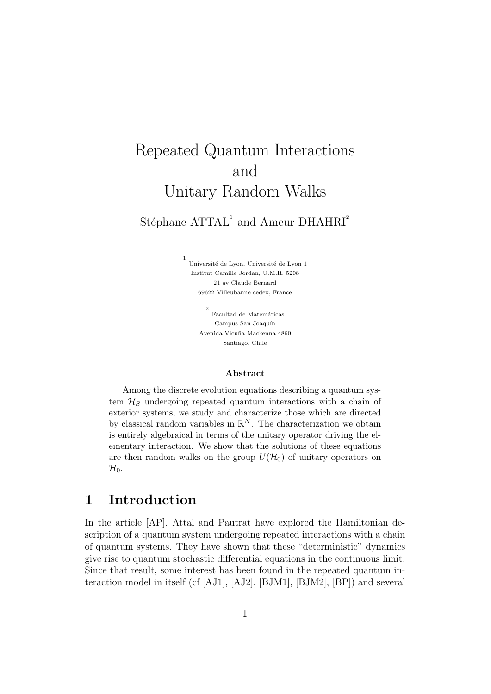# Repeated Quantum Interactions and Unitary Random Walks

# Stéphane  $\text{ATTAL}^1$  and Ameur DHAHRI<sup>2</sup>

Université de Lyon, Université de Lyon 1 Institut Camille Jordan, U.M.R. 5208 21 av Claude Bernard 69622 Villeubanne cedex, France

1

2 Facultad de Matemáticas Campus San Joaquín Avenida Vicu˜na Mackenna 4860 Santiago, Chile

#### Abstract

Among the discrete evolution equations describing a quantum system  $\mathcal{H}_S$  undergoing repeated quantum interactions with a chain of exterior systems, we study and characterize those which are directed by classical random variables in  $\mathbb{R}^N$ . The characterization we obtain is entirely algebraical in terms of the unitary operator driving the elementary interaction. We show that the solutions of these equations are then random walks on the group  $U(\mathcal{H}_0)$  of unitary operators on  $\mathcal{H}_0$ .

## 1 Introduction

In the article [AP], Attal and Pautrat have explored the Hamiltonian description of a quantum system undergoing repeated interactions with a chain of quantum systems. They have shown that these "deterministic" dynamics give rise to quantum stochastic differential equations in the continuous limit. Since that result, some interest has been found in the repeated quantum interaction model in itself (cf [AJ1], [AJ2], [BJM1], [BJM2], [BP]) and several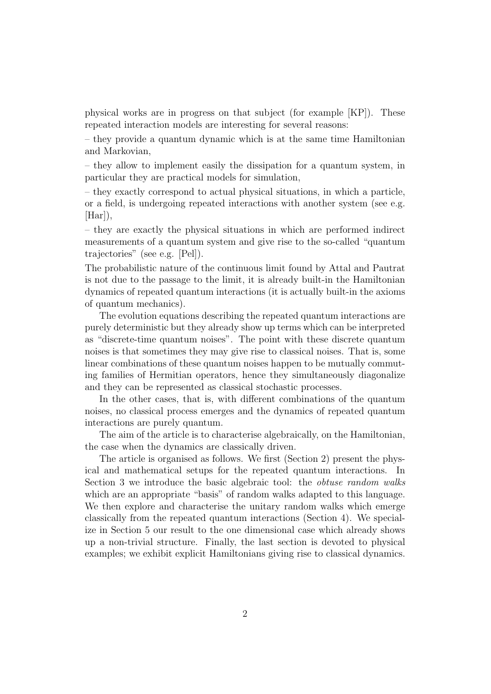physical works are in progress on that subject (for example [KP]). These repeated interaction models are interesting for several reasons:

– they provide a quantum dynamic which is at the same time Hamiltonian and Markovian,

– they allow to implement easily the dissipation for a quantum system, in particular they are practical models for simulation,

– they exactly correspond to actual physical situations, in which a particle, or a field, is undergoing repeated interactions with another system (see e.g.  $[Har]$ ,

– they are exactly the physical situations in which are performed indirect measurements of a quantum system and give rise to the so-called "quantum trajectories" (see e.g. [Pel]).

The probabilistic nature of the continuous limit found by Attal and Pautrat is not due to the passage to the limit, it is already built-in the Hamiltonian dynamics of repeated quantum interactions (it is actually built-in the axioms of quantum mechanics).

The evolution equations describing the repeated quantum interactions are purely deterministic but they already show up terms which can be interpreted as "discrete-time quantum noises". The point with these discrete quantum noises is that sometimes they may give rise to classical noises. That is, some linear combinations of these quantum noises happen to be mutually commuting families of Hermitian operators, hence they simultaneously diagonalize and they can be represented as classical stochastic processes.

In the other cases, that is, with different combinations of the quantum noises, no classical process emerges and the dynamics of repeated quantum interactions are purely quantum.

The aim of the article is to characterise algebraically, on the Hamiltonian, the case when the dynamics are classically driven.

The article is organised as follows. We first (Section 2) present the physical and mathematical setups for the repeated quantum interactions. In Section 3 we introduce the basic algebraic tool: the *obtuse random walks* which are an appropriate "basis" of random walks adapted to this language. We then explore and characterise the unitary random walks which emerge classically from the repeated quantum interactions (Section 4). We specialize in Section 5 our result to the one dimensional case which already shows up a non-trivial structure. Finally, the last section is devoted to physical examples; we exhibit explicit Hamiltonians giving rise to classical dynamics.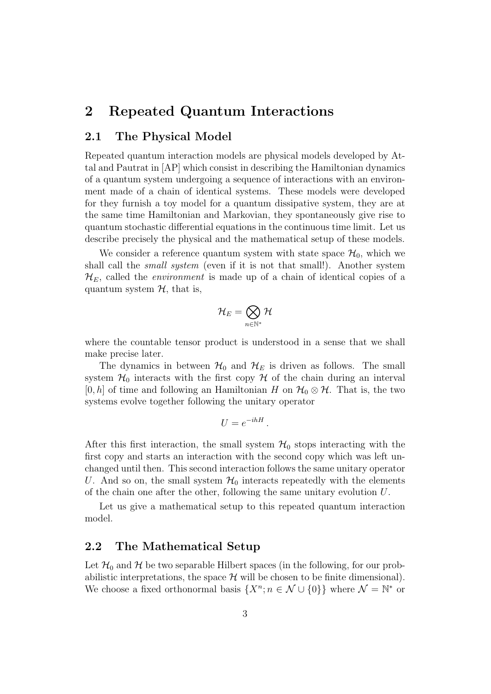# 2 Repeated Quantum Interactions

#### 2.1 The Physical Model

Repeated quantum interaction models are physical models developed by Attal and Pautrat in [AP] which consist in describing the Hamiltonian dynamics of a quantum system undergoing a sequence of interactions with an environment made of a chain of identical systems. These models were developed for they furnish a toy model for a quantum dissipative system, they are at the same time Hamiltonian and Markovian, they spontaneously give rise to quantum stochastic differential equations in the continuous time limit. Let us describe precisely the physical and the mathematical setup of these models.

We consider a reference quantum system with state space  $\mathcal{H}_0$ , which we shall call the *small system* (even if it is not that small!). Another system  $\mathcal{H}_E$ , called the *environment* is made up of a chain of identical copies of a quantum system  $H$ , that is,

$$
\mathcal{H}_E=\bigotimes_{n\in\mathbb{N}^*}\mathcal{H}
$$

where the countable tensor product is understood in a sense that we shall make precise later.

The dynamics in between  $\mathcal{H}_0$  and  $\mathcal{H}_E$  is driven as follows. The small system  $\mathcal{H}_0$  interacts with the first copy  $\mathcal H$  of the chain during an interval  $[0, h]$  of time and following an Hamiltonian H on  $\mathcal{H}_0 \otimes \mathcal{H}$ . That is, the two systems evolve together following the unitary operator

$$
U = e^{-ihH} \, .
$$

After this first interaction, the small system  $\mathcal{H}_0$  stops interacting with the first copy and starts an interaction with the second copy which was left unchanged until then. This second interaction follows the same unitary operator U. And so on, the small system  $\mathcal{H}_0$  interacts repeatedly with the elements of the chain one after the other, following the same unitary evolution U.

Let us give a mathematical setup to this repeated quantum interaction model.

### 2.2 The Mathematical Setup

Let  $\mathcal{H}_0$  and  $\mathcal{H}$  be two separable Hilbert spaces (in the following, for our probabilistic interpretations, the space  $\mathcal H$  will be chosen to be finite dimensional). We choose a fixed orthonormal basis  $\{X^n; n \in \mathcal{N} \cup \{0\}\}\$  where  $\mathcal{N} = \mathbb{N}^*$  or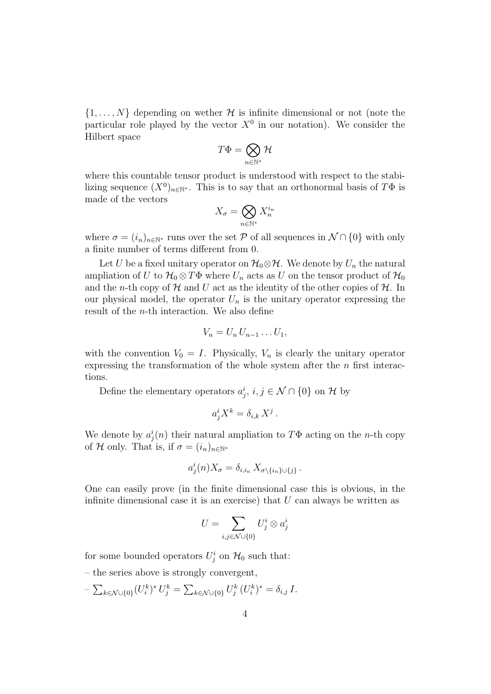$\{1, \ldots, N\}$  depending on wether H is infinite dimensional or not (note the particular role played by the vector  $X^0$  in our notation). We consider the Hilbert space

$$
T\Phi=\bigotimes_{n\in\mathbb{N}^*}\mathcal{H}
$$

where this countable tensor product is understood with respect to the stabilizing sequence  $(X^0)_{n\in\mathbb{N}^*}$ . This is to say that an orthonormal basis of  $T\Phi$  is made of the vectors

$$
X_{\sigma} = \bigotimes_{n \in \mathbb{N}^*} X_n^{i_n}
$$

where  $\sigma = (i_n)_{n \in \mathbb{N}^*}$  runs over the set P of all sequences in  $\mathcal{N} \cap \{0\}$  with only a finite number of terms different from 0.

Let U be a fixed unitary operator on  $\mathcal{H}_0 \otimes \mathcal{H}$ . We denote by  $U_n$  the natural ampliation of U to  $\mathcal{H}_0 \otimes T\Phi$  where  $U_n$  acts as U on the tensor product of  $\mathcal{H}_0$ and the *n*-th copy of  $H$  and U act as the identity of the other copies of  $H$ . In our physical model, the operator  $U_n$  is the unitary operator expressing the result of the n-th interaction. We also define

$$
V_n=U_n U_{n-1}\dots U_1,
$$

with the convention  $V_0 = I$ . Physically,  $V_n$  is clearly the unitary operator expressing the transformation of the whole system after the  $n$  first interactions.

Define the elementary operators  $a_j^i$ ,  $i, j \in \mathcal{N} \cap \{0\}$  on H by

$$
a_j^i X^k = \delta_{i,k} X^j.
$$

We denote by  $a_j^i(n)$  their natural ampliation to  $T\Phi$  acting on the *n*-th copy of H only. That is, if  $\sigma = (i_n)_{n \in \mathbb{N}^*}$ 

$$
a_j^i(n)X_{\sigma} = \delta_{i,i_n} X_{\sigma \setminus \{i_n\} \cup \{j\}}.
$$

One can easily prove (in the finite dimensional case this is obvious, in the infinite dimensional case it is an exercise) that  $U$  can always be written as

$$
U = \sum_{i,j \in \mathcal{N} \cup \{0\}} U^i_j \otimes a^i_j
$$

for some bounded operators  $U_j^i$  on  $\mathcal{H}_0$  such that:

– the series above is strongly convergent,

 $-\sum_{k\in\mathcal{N}\cup\{0\}}(U_i^k)^*U_j^k=\sum_{k\in\mathcal{N}\cup\{0\}}U_j^k(U_i^k)^*=\delta_{i,j}\,I.$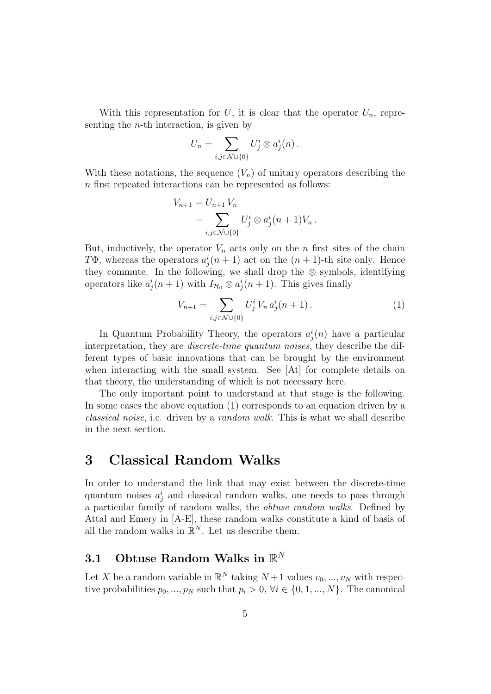With this representation for U, it is clear that the operator  $U_n$ , representing the *n*-th interaction, is given by

$$
U_n = \sum_{i,j \in \mathcal{N} \cup \{0\}} U^i_j \otimes a^i_j(n) .
$$

With these notations, the sequence  $(V_n)$  of unitary operators describing the n first repeated interactions can be represented as follows:

$$
V_{n+1} = U_{n+1} V_n
$$
  
=  $\sum_{i,j \in \mathcal{N} \cup \{0\}} U_j^i \otimes a_j^i (n+1) V_n.$ 

But, inductively, the operator  $V_n$  acts only on the n first sites of the chain TΦ, whereas the operators  $a_j^i(n+1)$  act on the  $(n+1)$ -th site only. Hence they commute. In the following, we shall drop the  $\otimes$  symbols, identifying operators like  $a_j^i(n+1)$  with  $I_{\mathcal{H}_0} \otimes a_j^i(n+1)$ . This gives finally

$$
V_{n+1} = \sum_{i,j \in \mathcal{N} \cup \{0\}} U_j^i V_n a_j^i (n+1).
$$
 (1)

In Quantum Probability Theory, the operators  $a_j^i(n)$  have a particular interpretation, they are *discrete-time quantum noises*, they describe the different types of basic innovations that can be brought by the environment when interacting with the small system. See [At] for complete details on that theory, the understanding of which is not necessary here.

The only important point to understand at that stage is the following. In some cases the above equation (1) corresponds to an equation driven by a classical noise, i.e. driven by a random walk. This is what we shall describe in the next section.

# 3 Classical Random Walks

In order to understand the link that may exist between the discrete-time quantum noises  $a_j^i$  and classical random walks, one needs to pass through a particular family of random walks, the obtuse random walks. Defined by Attal and Emery in [A-E], these random walks constitute a kind of basis of all the random walks in  $\mathbb{R}^N$ . Let us describe them.

# 3.1 Obtuse Random Walks in  $\mathbb{R}^N$

Let X be a random variable in  $\mathbb{R}^N$  taking  $N+1$  values  $v_0, ..., v_N$  with respective probabilities  $p_0, ..., p_N$  such that  $p_i > 0, \forall i \in \{0, 1, ..., N\}$ . The canonical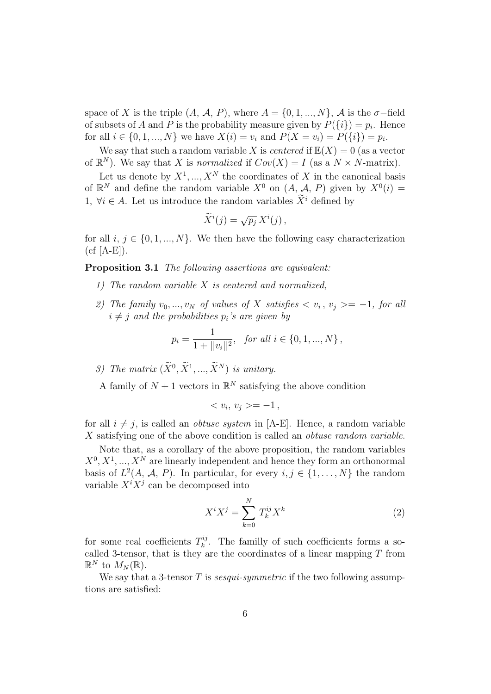space of X is the triple  $(A, \mathcal{A}, P)$ , where  $A = \{0, 1, ..., N\}$ ,  $\mathcal{A}$  is the  $\sigma$ -field of subsets of A and P is the probability measure given by  $P({i}) = p_i$ . Hence for all  $i \in \{0, 1, ..., N\}$  we have  $X(i) = v_i$  and  $P(X = v_i) = P(\{i\}) = p_i$ .

We say that such a random variable X is *centered* if  $\mathbb{E}(X) = 0$  (as a vector of  $\mathbb{R}^N$ ). We say that X is normalized if  $Cov(X) = I$  (as a  $N \times N$ -matrix).

Let us denote by  $X^1, ..., X^N$  the coordinates of X in the canonical basis of  $\mathbb{R}^N$  and define the random variable  $X^0$  on  $(A, \mathcal{A}, P)$  given by  $X^0(i) =$ 1,  $\forall i \in A$ . Let us introduce the random variables  $\widetilde{X}^i$  defined by

$$
\widetilde{X}^i(j) = \sqrt{p_j} X^i(j),
$$

for all  $i, j \in \{0, 1, ..., N\}$ . We then have the following easy characterization  $(cf [A-E]).$ 

Proposition 3.1 The following assertions are equivalent:

- 1) The random variable X is centered and normalized,
- 2) The family  $v_0, ..., v_N$  of values of X satisfies  $\langle v_i, v_j \rangle = -1$ , for all  $i \neq j$  and the probabilities  $p_i$ 's are given by

$$
p_i = \frac{1}{1 + ||v_i||^2}, \text{ for all } i \in \{0, 1, ..., N\},
$$

3) The matrix  $(X^0, X^1, ..., X^N)$  is unitary.

A family of  $N+1$  vectors in  $\mathbb{R}^N$  satisfying the above condition

$$
\langle v_i, v_j \rangle = -1,
$$

for all  $i \neq j$ , is called an *obtuse system* in [A-E]. Hence, a random variable X satisfying one of the above condition is called an *obtuse random variable*.

Note that, as a corollary of the above proposition, the random variables  $X^0, X^1, ..., X^N$  are linearly independent and hence they form an orthonormal basis of  $L^2(A, \mathcal{A}, P)$ . In particular, for every  $i, j \in \{1, ..., N\}$  the random variable  $X^{i}X^{j}$  can be decomposed into

$$
X^i X^j = \sum_{k=0}^N T_k^{ij} X^k \tag{2}
$$

for some real coefficients  $T_k^{ij}$  $\frac{n}{k}$ . The familly of such coefficients forms a socalled 3-tensor, that is they are the coordinates of a linear mapping  $T$  from  $\mathbb{R}^N$  to  $M_N(\mathbb{R})$ .

We say that a 3-tensor  $T$  is *sesqui-symmetric* if the two following assumptions are satisfied: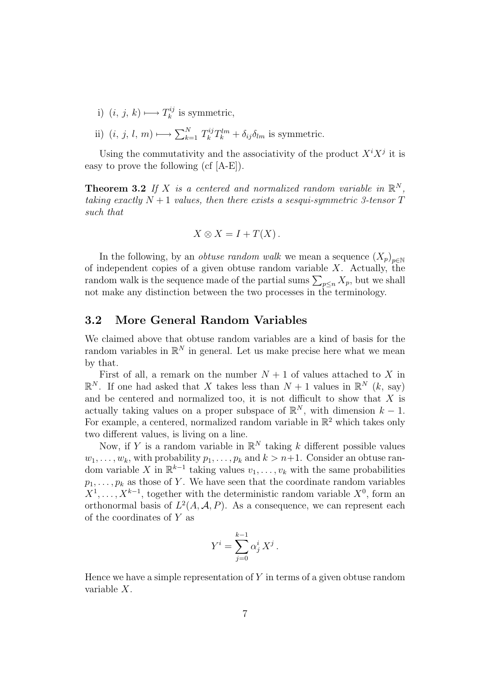- i)  $(i, j, k) \longmapsto T_k^{ij}$  $\mathbf{r}_k^{ij}$  is symmetric,
- ii)  $(i, j, l, m) \longrightarrow \sum_{k=1}^{N} T_k^{ij} T_k^{lm} + \delta_{ij} \delta_{lm}$  is symmetric.

Using the commutativity and the associativity of the product  $X^i X^j$  it is easy to prove the following (cf [A-E]).

**Theorem 3.2** If X is a centered and normalized random variable in  $\mathbb{R}^N$ , taking exactly  $N+1$  values, then there exists a sesqui-symmetric 3-tensor  $T$ such that

$$
X \otimes X = I + T(X).
$$

In the following, by an *obtuse random walk* we mean a sequence  $(X_p)_{p \in \mathbb{N}}$ of independent copies of a given obtuse random variable  $X$ . Actually, the random walk is the sequence made of the partial sums  $\sum_{p \leq n} X_p$ , but we shall not make any distinction between the two processes in the terminology.

### 3.2 More General Random Variables

We claimed above that obtuse random variables are a kind of basis for the random variables in  $\mathbb{R}^N$  in general. Let us make precise here what we mean by that.

First of all, a remark on the number  $N + 1$  of values attached to X in  $\mathbb{R}^N$ . If one had asked that X takes less than  $N+1$  values in  $\mathbb{R}^N$  (k, say) and be centered and normalized too, it is not difficult to show that  $X$  is actually taking values on a proper subspace of  $\mathbb{R}^N$ , with dimension  $k-1$ . For example, a centered, normalized random variable in  $\mathbb{R}^2$  which takes only two different values, is living on a line.

Now, if Y is a random variable in  $\mathbb{R}^N$  taking k different possible values  $w_1, \ldots, w_k$ , with probability  $p_1, \ldots, p_k$  and  $k > n+1$ . Consider an obtuse random variable X in  $\mathbb{R}^{k-1}$  taking values  $v_1, \ldots, v_k$  with the same probabilities  $p_1, \ldots, p_k$  as those of Y. We have seen that the coordinate random variables  $X^1, \ldots, X^{k-1}$ , together with the deterministic random variable  $X^0$ , form an orthonormal basis of  $L^2(A, \mathcal{A}, P)$ . As a consequence, we can represent each of the coordinates of Y as

$$
Y^i = \sum_{j=0}^{k-1} \alpha_j^i X^j.
$$

Hence we have a simple representation of  $Y$  in terms of a given obtuse random variable X.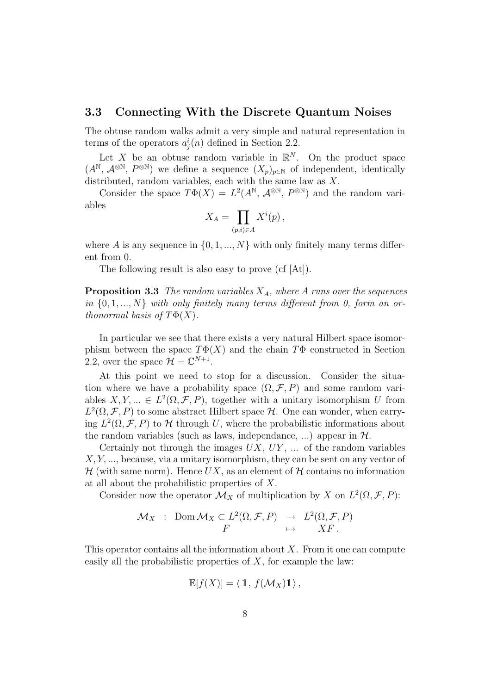#### 3.3 Connecting With the Discrete Quantum Noises

The obtuse random walks admit a very simple and natural representation in terms of the operators  $a_j^i(n)$  defined in Section 2.2.

Let X be an obtuse random variable in  $\mathbb{R}^N$ . On the product space  $(A^{\mathbb{N}}, \mathcal{A}^{\otimes \mathbb{N}}, P^{\otimes \mathbb{N}})$  we define a sequence  $(X_p)_{p\in\mathbb{N}}$  of independent, identically distributed, random variables, each with the same law as X.

Consider the space  $T\Phi(X) = L^2(A^{\mathbb{N}}, \mathcal{A}^{\otimes \mathbb{N}}, P^{\otimes \mathbb{N}})$  and the random variables

$$
X_A = \prod_{(p,i)\in A} X^i(p) \,,
$$

where A is any sequence in  $\{0, 1, ..., N\}$  with only finitely many terms different from 0.

The following result is also easy to prove (cf [At]).

**Proposition 3.3** The random variables  $X_A$ , where A runs over the sequences in  $\{0, 1, ..., N\}$  with only finitely many terms different from 0, form an orthonormal basis of  $T\Phi(X)$ .

In particular we see that there exists a very natural Hilbert space isomorphism between the space  $T\Phi(X)$  and the chain  $T\Phi$  constructed in Section 2.2, over the space  $\mathcal{H} = \mathbb{C}^{N+1}$ .

At this point we need to stop for a discussion. Consider the situation where we have a probability space  $(\Omega, \mathcal{F}, P)$  and some random variables  $X, Y, \dots \in L^2(\Omega, \mathcal{F}, P)$ , together with a unitary isomorphism U from  $L^2(\Omega, \mathcal{F}, P)$  to some abstract Hilbert space  $\mathcal{H}$ . One can wonder, when carrying  $L^2(\Omega, \mathcal{F}, P)$  to H through U, where the probabilistic informations about the random variables (such as laws, independance, ...) appear in  $H$ .

Certainly not through the images  $UX, UY, \ldots$  of the random variables  $X, Y, \ldots$ , because, via a unitary isomorphism, they can be sent on any vector of  $\mathcal H$  (with same norm). Hence UX, as an element of  $\mathcal H$  contains no information at all about the probabilistic properties of X.

Consider now the operator  $\mathcal{M}_X$  of multiplication by X on  $L^2(\Omega, \mathcal{F}, P)$ :

$$
\mathcal{M}_X : \text{Dom } \mathcal{M}_X \subset L^2(\Omega, \mathcal{F}, P) \rightarrow L^2(\Omega, \mathcal{F}, P)
$$
  

$$
F \mapsto XF.
$$

This operator contains all the information about  $X$ . From it one can compute easily all the probabilistic properties of  $X$ , for example the law:

$$
\mathbb{E}[f(X)] = \langle 1, f(\mathcal{M}_X) 1 \rangle,
$$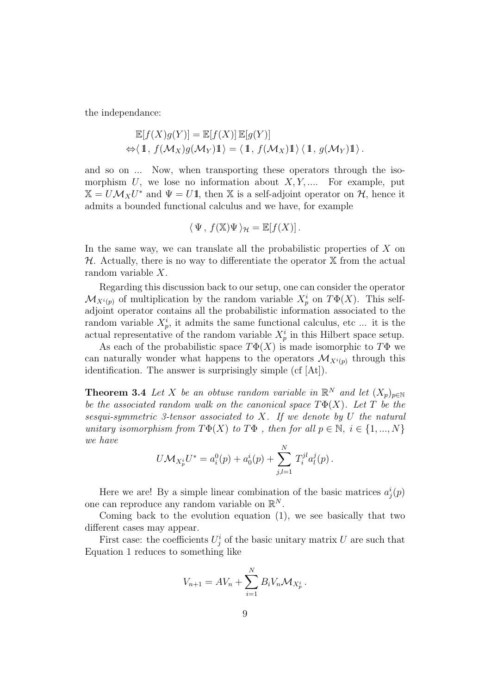the independance:

$$
\mathbb{E}[f(X)g(Y)] = \mathbb{E}[f(X)] \mathbb{E}[g(Y)]
$$
  
\n
$$
\Leftrightarrow \langle 1, f(\mathcal{M}_X)g(\mathcal{M}_Y)1 \rangle = \langle 1, f(\mathcal{M}_X)1 \rangle \langle 1, g(\mathcal{M}_Y)1 \rangle.
$$

and so on ... Now, when transporting these operators through the isomorphism  $U$ , we lose no information about  $X, Y, \dots$  For example, put  $\mathbb{X} = U \mathcal{M}_X U^*$  and  $\Psi = U \mathbb{1}$ , then  $\mathbb{X}$  is a self-adjoint operator on  $\mathcal{H}$ , hence it admits a bounded functional calculus and we have, for example

$$
\langle \Psi, f(\mathbb{X})\Psi \rangle_{\mathcal{H}} = \mathbb{E}[f(X)].
$$

In the same way, we can translate all the probabilistic properties of  $X$  on  $H$ . Actually, there is no way to differentiate the operator  $X$  from the actual random variable X.

Regarding this discussion back to our setup, one can consider the operator  $\mathcal{M}_{X^i(p)}$  of multiplication by the random variable  $X^i_p$  on  $T\Phi(X)$ . This selfadjoint operator contains all the probabilistic information associated to the random variable  $X_p^i$ , it admits the same functional calculus, etc... it is the actual representative of the random variable  $X_p^i$  in this Hilbert space setup.

As each of the probabilistic space  $T\Phi(X)$  is made isomorphic to  $T\Phi$  we can naturally wonder what happens to the operators  $\mathcal{M}_{X^{i}(p)}$  through this identification. The answer is surprisingly simple (cf [At]).

**Theorem 3.4** Let X be an obtuse random variable in  $\mathbb{R}^N$  and let  $(X_p)_{p \in \mathbb{N}}$ be the associated random walk on the canonical space  $T\Phi(X)$ . Let T be the sesqui-symmetric 3-tensor associated to  $X$ . If we denote by  $U$  the natural unitary isomorphism from  $T\Phi(X)$  to  $T\Phi$ , then for all  $p \in \mathbb{N}, i \in \{1, ..., N\}$ we have

$$
U\mathcal{M}_{X_p^i}U^* = a_i^0(p) + a_0^i(p) + \sum_{j,l=1}^N T_i^{jl}a_l^j(p).
$$

Here we are! By a simple linear combination of the basic matrices  $a_j^i(p)$ one can reproduce any random variable on  $\mathbb{R}^N$ .

Coming back to the evolution equation (1), we see basically that two different cases may appear.

First case: the coefficients  $U_j^i$  of the basic unitary matrix U are such that Equation 1 reduces to something like

$$
V_{n+1} = AV_n + \sum_{i=1}^{N} B_i V_n M_{X_p^i}.
$$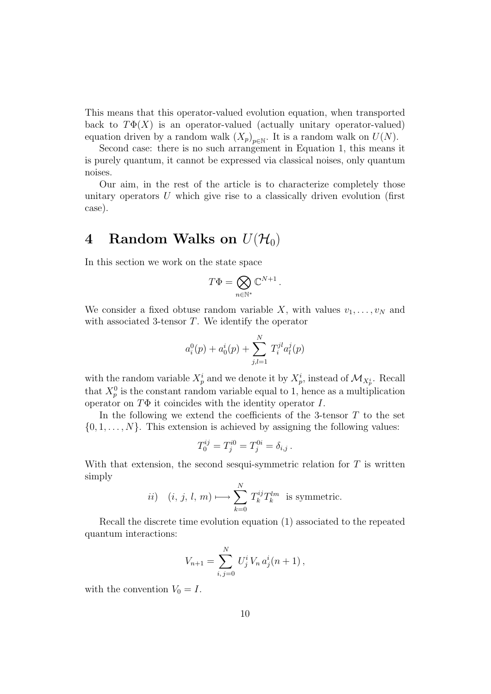This means that this operator-valued evolution equation, when transported back to  $T\Phi(X)$  is an operator-valued (actually unitary operator-valued) equation driven by a random walk  $(X_p)_{p \in \mathbb{N}}$ . It is a random walk on  $U(N)$ .

Second case: there is no such arrangement in Equation 1, this means it is purely quantum, it cannot be expressed via classical noises, only quantum noises.

Our aim, in the rest of the article is to characterize completely those unitary operators  $U$  which give rise to a classically driven evolution (first case).

# 4 Random Walks on  $U(\mathcal{H}_0)$

In this section we work on the state space

$$
T\Phi=\bigotimes_{n\in\mathbb{N}^*}\mathbb{C}^{N+1}\,.
$$

We consider a fixed obtuse random variable X, with values  $v_1, \ldots, v_N$  and with associated 3-tensor  $T$ . We identify the operator

$$
a_i^0(p) + a_0^i(p) + \sum_{j,l=1}^N T_i^{jl} a_l^j(p)
$$

with the random variable  $X_p^i$  and we denote it by  $X_p^i$ , instead of  $\mathcal{M}_{X_p^i}$ . Recall that  $X_p^0$  is the constant random variable equal to 1, hence as a multiplication operator on  $T\Phi$  it coincides with the identity operator I.

In the following we extend the coefficients of the 3-tensor  $T$  to the set  $\{0, 1, \ldots, N\}$ . This extension is achieved by assigning the following values:

$$
T_0^{ij} = T_j^{i0} = T_j^{0i} = \delta_{i,j} .
$$

With that extension, the second sesqui-symmetric relation for  $T$  is written simply  $\overline{N}$ 

$$
ii) \quad (i, j, l, m) \longmapsto \sum_{k=0}^{N} T_k^{ij} T_k^{lm} \text{ is symmetric.}
$$

Recall the discrete time evolution equation (1) associated to the repeated quantum interactions:

$$
V_{n+1} = \sum_{i,j=0}^{N} U_j^i V_n a_j^i (n+1),
$$

with the convention  $V_0 = I$ .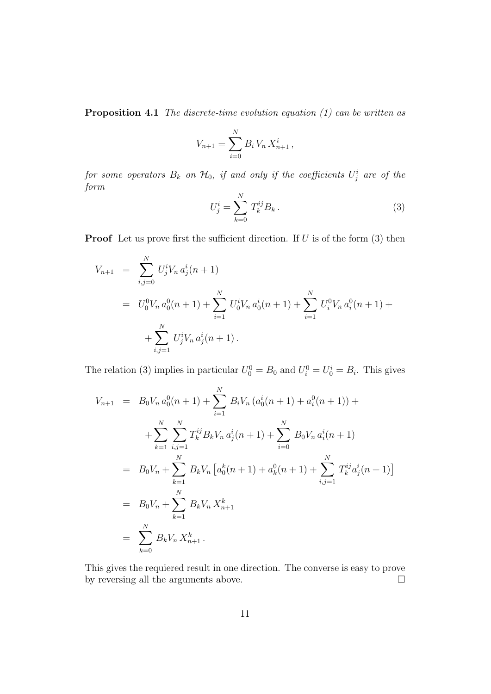**Proposition 4.1** The discrete-time evolution equation  $(1)$  can be written as

$$
V_{n+1} = \sum_{i=0}^{N} B_i V_n X_{n+1}^i,
$$

for some operators  $B_k$  on  $\mathcal{H}_0$ , if and only if the coefficients  $U^i_j$  are of the form

$$
U_j^i = \sum_{k=0}^N T_k^{ij} B_k.
$$
 (3)

**Proof** Let us prove first the sufficient direction. If  $U$  is of the form  $(3)$  then

$$
V_{n+1} = \sum_{i,j=0}^{N} U_j^i V_n a_j^i (n+1)
$$
  
=  $U_0^0 V_n a_0^0 (n+1) + \sum_{i=1}^{N} U_0^i V_n a_0^i (n+1) + \sum_{i=1}^{N} U_i^0 V_n a_i^0 (n+1) + \sum_{i,j=1}^{N} U_j^i V_n a_j^i (n+1).$ 

The relation (3) implies in particular  $U_0^0 = B_0$  and  $U_i^0 = U_0^i = B_i$ . This gives

$$
V_{n+1} = B_0 V_n a_0^0(n+1) + \sum_{i=1}^N B_i V_n (a_0^i(n+1) + a_0^0(n+1)) +
$$
  
+ 
$$
\sum_{k=1}^N \sum_{i,j=1}^N T_k^{ij} B_k V_n a_j^i(n+1) + \sum_{i=0}^N B_0 V_n a_i^i(n+1)
$$
  
= 
$$
B_0 V_n + \sum_{k=1}^N B_k V_n [a_0^k(n+1) + a_k^0(n+1) + \sum_{i,j=1}^N T_k^{ij} a_j^i(n+1)]
$$
  
= 
$$
B_0 V_n + \sum_{k=1}^N B_k V_n X_{n+1}^k
$$
  
= 
$$
\sum_{k=0}^N B_k V_n X_{n+1}^k.
$$

This gives the requiered result in one direction. The converse is easy to prove by reversing all the arguments above.  $\hfill \square$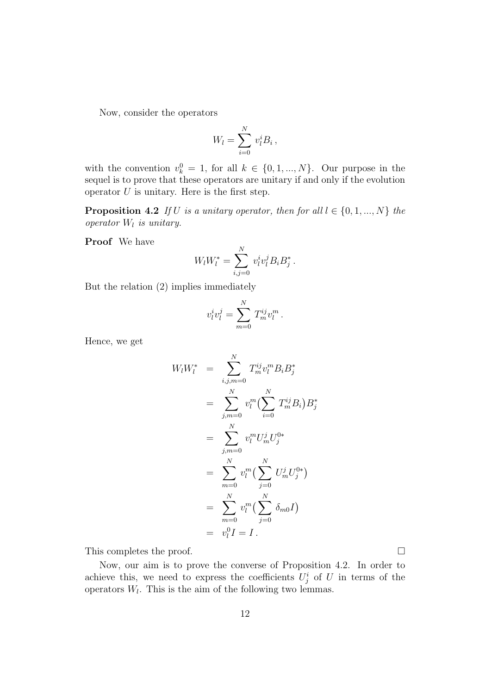Now, consider the operators

$$
W_l = \sum_{i=0}^N v_l^i B_i,
$$

with the convention  $v_k^0 = 1$ , for all  $k \in \{0, 1, ..., N\}$ . Our purpose in the sequel is to prove that these operators are unitary if and only if the evolution operator  $U$  is unitary. Here is the first step.

**Proposition 4.2** If U is a unitary operator, then for all  $l \in \{0, 1, ..., N\}$  the operator  $W_l$  is unitary.

Proof We have

$$
W_l W_l^* = \sum_{i,j=0}^N v_l^i v_l^j B_i B_j^*.
$$

But the relation (2) implies immediately

$$
v_l^i v_l^j = \sum_{m=0}^N T_m^{ij} v_l^m.
$$

Hence, we get

$$
W_l W_l^* = \sum_{i,j,m=0}^N T_m^{ij} v_l^m B_i B_j^*
$$
  
\n
$$
= \sum_{j,m=0}^N v_l^m (\sum_{i=0}^N T_m^{ij} B_i) B_j^*
$$
  
\n
$$
= \sum_{j,m=0}^N v_l^m U_m^j U_j^{0*}
$$
  
\n
$$
= \sum_{m=0}^N v_l^m (\sum_{j=0}^N U_m^j U_j^{0*})
$$
  
\n
$$
= \sum_{m=0}^N v_l^m (\sum_{j=0}^N \delta_{m0} I)
$$
  
\n
$$
= v_l^0 I = I.
$$

This completes the proof.

Now, our aim is to prove the converse of Proposition 4.2. In order to achieve this, we need to express the coefficients  $U_j^i$  of U in terms of the operators  $W_l$ . This is the aim of the following two lemmas.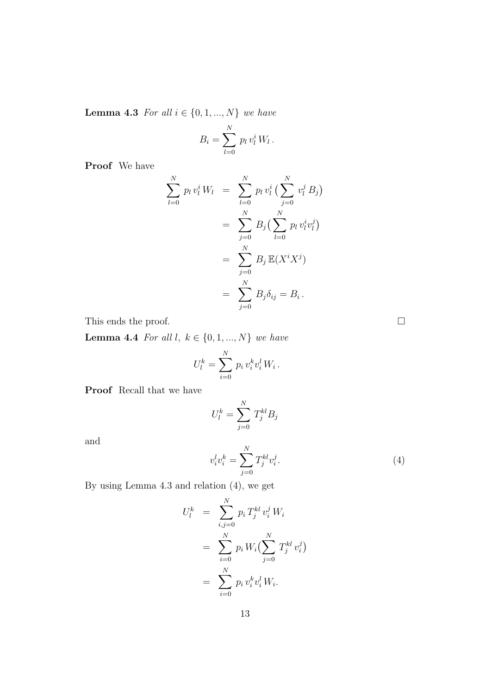**Lemma 4.3** For all  $i \in \{0, 1, ..., N\}$  we have

$$
B_i = \sum_{l=0}^N p_l v_l^i W_l.
$$

Proof We have

$$
\sum_{l=0}^{N} p_l v_l^i W_l = \sum_{l=0}^{N} p_l v_l^i \left( \sum_{j=0}^{N} v_l^j B_j \right)
$$
  
= 
$$
\sum_{j=0}^{N} B_j \left( \sum_{l=0}^{N} p_l v_l^i v_l^j \right)
$$
  
= 
$$
\sum_{j=0}^{N} B_j \mathbb{E}(X^i X^j)
$$
  
= 
$$
\sum_{j=0}^{N} B_j \delta_{ij} = B_i.
$$

This ends the proof.  $\hfill \square$ 

Lemma 4.4 For all  $l, k \in \{0, 1, ..., N\}$  we have

$$
U_l^k = \sum_{i=0}^N p_i v_i^k v_i^l W_i.
$$

Proof Recall that we have

$$
U_l^k = \sum_{j=0}^N T_j^{kl} B_j
$$

and

$$
v_i^l v_i^k = \sum_{j=0}^N T_j^{kl} v_i^j.
$$
 (4)

By using Lemma 4.3 and relation (4), we get

$$
U_l^k = \sum_{i,j=0}^N p_i T_j^{kl} v_i^j W_i
$$
  
= 
$$
\sum_{i=0}^N p_i W_i \left( \sum_{j=0}^N T_j^{kl} v_i^j \right)
$$
  
= 
$$
\sum_{i=0}^N p_i v_i^k v_i^l W_i.
$$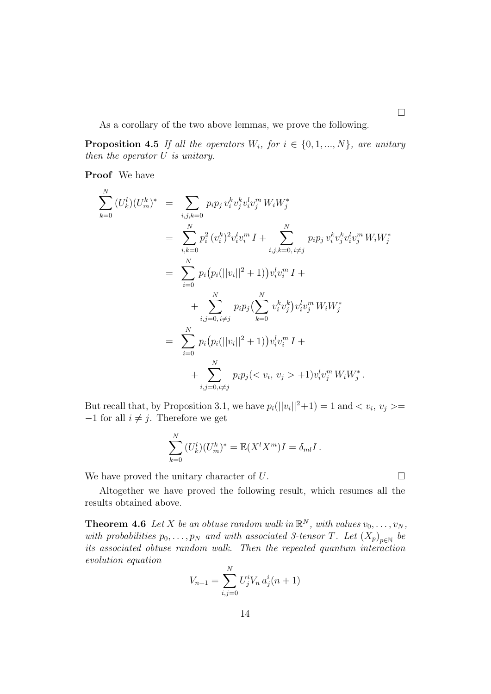As a corollary of the two above lemmas, we prove the following.

**Proposition 4.5** If all the operators  $W_i$ , for  $i \in \{0, 1, ..., N\}$ , are unitary then the operator U is unitary.

Proof We have

N

$$
\sum_{k=0}^{N} (U_k^l)(U_m^k)^* = \sum_{i,j,k=0} p_i p_j v_i^k v_j^k v_i^l v_j^m W_i W_j^*
$$
  
\n
$$
= \sum_{i,k=0}^{N} p_i^2 (v_i^k)^2 v_i^l v_i^m I + \sum_{i,j,k=0, i \neq j}^{N} p_i p_j v_i^k v_j^k v_i^l v_j^m W_i W_j^*
$$
  
\n
$$
= \sum_{i=0}^{N} p_i (p_i (||v_i||^2 + 1)) v_i^l v_i^m I + \sum_{i,j=0, i \neq j}^{N} p_i p_j (\sum_{k=0}^{N} v_i^k v_j^k) v_i^l v_j^m W_i W_j^*
$$
  
\n
$$
= \sum_{i=0}^{N} p_i (p_i (||v_i||^2 + 1)) v_i^l v_i^m I + \sum_{i,j=0, i \neq j}^{N} p_i p_j (\langle v_i, v_j \rangle + 1) v_i^l v_j^m W_i W_j^*.
$$

But recall that, by Proposition 3.1, we have  $p_i(||v_i||^2 + 1) = 1$  and  $\langle v_i, v_j \rangle =$  $-1$  for all  $i \neq j$ . Therefore we get

$$
\sum_{k=0}^N (U_k^l)(U_m^k)^* = \mathbb{E}(X^l X^m)I = \delta_{ml}I.
$$

We have proved the unitary character of  $U$ .

Altogether we have proved the following result, which resumes all the results obtained above.

**Theorem 4.6** Let X be an obtuse random walk in  $\mathbb{R}^N$ , with values  $v_0, \ldots, v_N$ , with probabilities  $p_0, \ldots, p_N$  and with associated 3-tensor T. Let  $(X_p)_{p \in \mathbb{N}}$  be its associated obtuse random walk. Then the repeated quantum interaction evolution equation

$$
V_{n+1} = \sum_{i,j=0}^{N} U_j^i V_n a_j^i (n+1)
$$

 $\Box$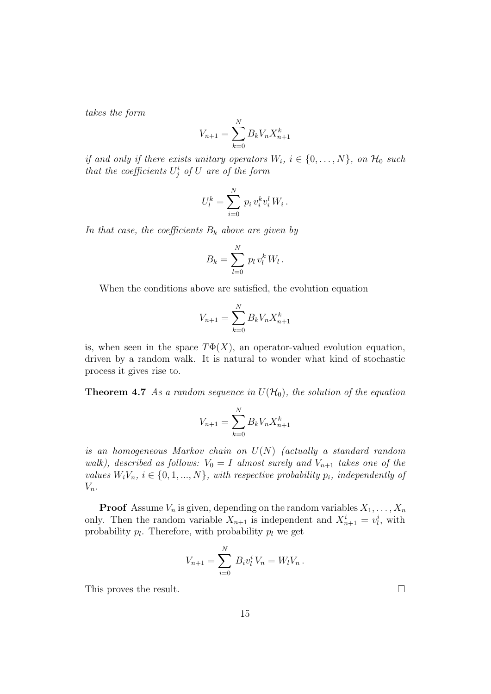takes the form

$$
V_{n+1} = \sum_{k=0}^{N} B_k V_n X_{n+1}^k
$$

if and only if there exists unitary operators  $W_i$ ,  $i \in \{0, ..., N\}$ , on  $\mathcal{H}_0$  such that the coefficients  $U_j^i$  of U are of the form

$$
U_l^k = \sum_{i=0}^N p_i v_i^k v_i^l W_i.
$$

In that case, the coefficients  $B_k$  above are given by

$$
B_k = \sum_{l=0}^N p_l v_l^k W_l.
$$

When the conditions above are satisfied, the evolution equation

$$
V_{n+1} = \sum_{k=0}^{N} B_k V_n X_{n+1}^k
$$

is, when seen in the space  $T\Phi(X)$ , an operator-valued evolution equation, driven by a random walk. It is natural to wonder what kind of stochastic process it gives rise to.

**Theorem 4.7** As a random sequence in  $U(\mathcal{H}_0)$ , the solution of the equation

$$
V_{n+1} = \sum_{k=0}^{N} B_k V_n X_{n+1}^k
$$

is an homogeneous Markov chain on  $U(N)$  (actually a standard random walk), described as follows:  $V_0 = I$  almost surely and  $V_{n+1}$  takes one of the values  $W_iV_n$ ,  $i \in \{0, 1, ..., N\}$ , with respective probability  $p_i$ , independently of  $V_n$ .

**Proof** Assume  $V_n$  is given, depending on the random variables  $X_1, \ldots, X_n$ only. Then the random variable  $X_{n+1}$  is independent and  $X_{n+1}^i = v_l^i$ , with probability  $p_l$ . Therefore, with probability  $p_l$  we get

$$
V_{n+1} = \sum_{i=0}^{N} B_i v_l^i V_n = W_l V_n.
$$

This proves the result.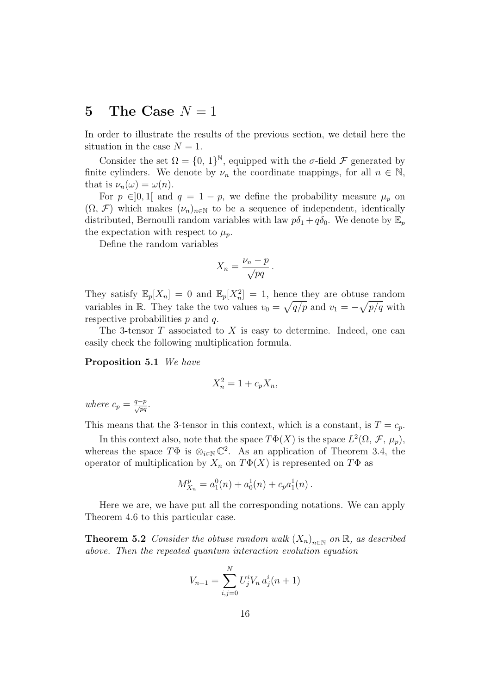### 5 The Case  $N=1$

In order to illustrate the results of the previous section, we detail here the situation in the case  $N = 1$ .

Consider the set  $\Omega = \{0, 1\}^{\mathbb{N}},$  equipped with the  $\sigma$ -field  $\mathcal F$  generated by finite cylinders. We denote by  $\nu_n$  the coordinate mappings, for all  $n \in \mathbb{N}$ , that is  $\nu_n(\omega) = \omega(n)$ .

For  $p \in ]0,1[$  and  $q = 1 - p$ , we define the probability measure  $\mu_p$  on  $(\Omega, \mathcal{F})$  which makes  $(\nu_n)_{n \in \mathbb{N}}$  to be a sequence of independent, identically distributed, Bernoulli random variables with law  $p\delta_1 + q\delta_0$ . We denote by  $\mathbb{E}_p$ the expectation with respect to  $\mu_p$ .

Define the random variables

$$
X_n = \frac{\nu_n - p}{\sqrt{pq}}.
$$

They satisfy  $\mathbb{E}_p[X_n] = 0$  and  $\mathbb{E}_p[X_n^2] = 1$ , hence they are obtuse random variables in R. They take the two values  $v_0 = \sqrt{q/p}$  and  $v_1 = -\sqrt{p/q}$  with respective probabilities  $p$  and  $q$ .

The 3-tensor  $T$  associated to  $X$  is easy to determine. Indeed, one can easily check the following multiplication formula.

Proposition 5.1 We have

$$
X_n^2 = 1 + c_p X_n,
$$

where  $c_p = \frac{q-p}{\sqrt{pq}}$ .

This means that the 3-tensor in this context, which is a constant, is  $T = c_p$ .

In this context also, note that the space  $T\Phi(X)$  is the space  $L^2(\Omega, \mathcal{F}, \mu_p)$ , whereas the space  $T\Phi$  is  $\otimes_{i\in\mathbb{N}}\mathbb{C}^2$ . As an application of Theorem 3.4, the operator of multiplication by  $X_n$  on  $T\Phi(X)$  is represented on  $T\Phi$  as

$$
M_{X_n}^p = a_1^0(n) + a_0^1(n) + c_p a_1^1(n).
$$

Here we are, we have put all the corresponding notations. We can apply Theorem 4.6 to this particular case.

**Theorem 5.2** Consider the obtuse random walk  $(X_n)_{n\in\mathbb{N}}$  on  $\mathbb{R}$ , as described above. Then the repeated quantum interaction evolution equation

$$
V_{n+1} = \sum_{i,j=0}^{N} U_j^i V_n a_j^i (n+1)
$$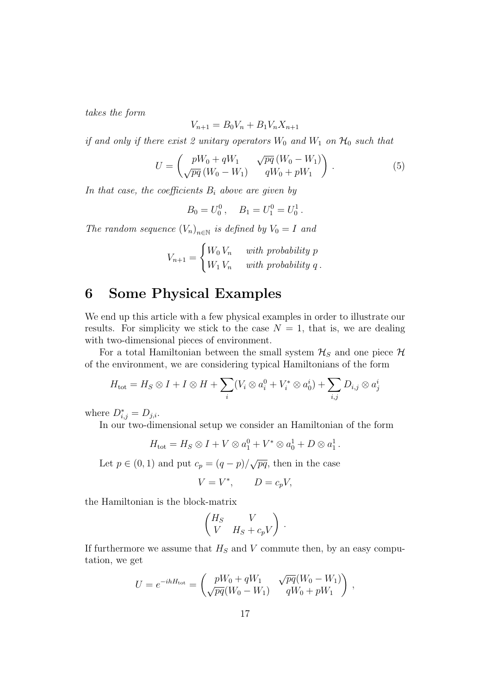takes the form

$$
V_{n+1} = B_0 V_n + B_1 V_n X_{n+1}
$$

if and only if there exist 2 unitary operators  $W_0$  and  $W_1$  on  $\mathcal{H}_0$  such that

$$
U = \begin{pmatrix} pW_0 + qW_1 & \sqrt{pq} (W_0 - W_1) \\ \sqrt{pq} (W_0 - W_1) & qW_0 + pW_1 \end{pmatrix} .
$$
 (5)

In that case, the coefficients  $B_i$  above are given by

$$
B_0 = U_0^0
$$
,  $B_1 = U_1^0 = U_0^1$ .

The random sequence  $(V_n)_{n \in \mathbb{N}}$  is defined by  $V_0 = I$  and

$$
V_{n+1} = \begin{cases} W_0 V_n & with \ probability \ p \\ W_1 V_n & with \ probability \ q \end{cases}.
$$

# 6 Some Physical Examples

We end up this article with a few physical examples in order to illustrate our results. For simplicity we stick to the case  $N = 1$ , that is, we are dealing with two-dimensional pieces of environment.

For a total Hamiltonian between the small system  $\mathcal{H}_S$  and one piece  $\mathcal{H}$ of the environment, we are considering typical Hamiltonians of the form

$$
H_{\text{tot}} = H_S \otimes I + I \otimes H + \sum_i (V_i \otimes a_i^0 + V_i^* \otimes a_0^i) + \sum_{i,j} D_{i,j} \otimes a_j^i
$$

where  $D^*_{i,j} = D_{j,i}$ .

In our two-dimensional setup we consider an Hamiltonian of the form

$$
H_{\text{tot}} = H_S \otimes I + V \otimes a_1^0 + V^* \otimes a_0^1 + D \otimes a_1^1.
$$

Let  $p \in (0, 1)$  and put  $c_p = (q - p)/\sqrt{pq}$ , then in the case

$$
V = V^*, \qquad D = c_p V,
$$

the Hamiltonian is the block-matrix

$$
\begin{pmatrix} H_S & V \\ V & H_S + c_p V \end{pmatrix}.
$$

If furthermore we assume that  $H<sub>S</sub>$  and V commute then, by an easy computation, we get

$$
U = e^{-ihH_{\text{tot}}} = \begin{pmatrix} pW_0 + qW_1 & \sqrt{pq}(W_0 - W_1) \\ \sqrt{pq}(W_0 - W_1) & qW_0 + pW_1 \end{pmatrix},
$$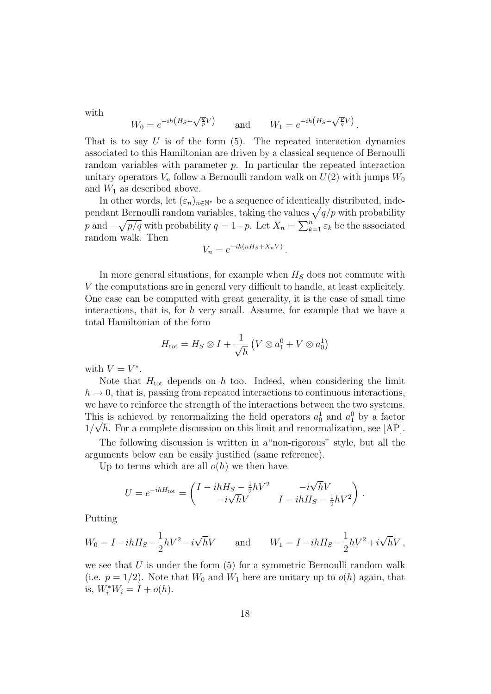with

$$
W_0 = e^{-ih\left(H_S + \sqrt{\frac{q}{p}}V\right)} \quad \text{and} \quad W_1 = e^{-ih\left(H_S - \sqrt{\frac{p}{q}}V\right)}.
$$

That is to say  $U$  is of the form  $(5)$ . The repeated interaction dynamics associated to this Hamiltonian are driven by a classical sequence of Bernoulli random variables with parameter p. In particular the repeated interaction unitary operators  $V_n$  follow a Bernoulli random walk on  $U(2)$  with jumps  $W_0$ and  $W_1$  as described above.

In other words, let  $(\varepsilon_n)_{n\in\mathbb{N}^*}$  be a sequence of identically distributed, independant Bernoulli random variables, taking the values  $\sqrt{q/p}$  with probability p and  $-\sqrt{p/q}$  with probability  $q = 1-p$ . Let  $X_n = \sum_{k=1}^n \varepsilon_k$  be the associated random walk. Then

$$
V_n = e^{-ih(nH_S + X_n V)}.
$$

In more general situations, for example when  $H<sub>S</sub>$  does not commute with V the computations are in general very difficult to handle, at least explicitely. One case can be computed with great generality, it is the case of small time interactions, that is, for  $h$  very small. Assume, for example that we have a total Hamiltonian of the form

$$
H_{\text{tot}} = H_S \otimes I + \frac{1}{\sqrt{h}} \left( V \otimes a_1^0 + V \otimes a_0^1 \right)
$$

with  $V = V^*$ .

Note that  $H_{\text{tot}}$  depends on h too. Indeed, when considering the limit  $h \to 0$ , that is, passing from repeated interactions to continuous interactions, we have to reinforce the strength of the interactions between the two systems. This is achieved by renormalizing the field operators  $a_0^1$  and  $a_1^0$  by a factor  $1/\sqrt{h}$ . For a complete discussion on this limit and renormalization, see [AP].

The following discussion is written in a"non-rigorous" style, but all the arguments below can be easily justified (same reference).

Up to terms which are all  $o(h)$  we then have

$$
U = e^{-ihH_{\text{tot}}} = \begin{pmatrix} I - ihH_S - \frac{1}{2}hV^2 & -i\sqrt{h}V \\ -i\sqrt{h}V & I - ihH_S - \frac{1}{2}hV^2 \end{pmatrix}.
$$

Putting

$$
W_0 = I - i h H_S - \frac{1}{2} h V^2 - i \sqrt{h} V \quad \text{and} \quad W_1 = I - i h H_S - \frac{1}{2} h V^2 + i \sqrt{h} V,
$$

we see that  $U$  is under the form  $(5)$  for a symmetric Bernoulli random walk (i.e.  $p = 1/2$ ). Note that  $W_0$  and  $W_1$  here are unitary up to  $o(h)$  again, that is,  $W_i^* W_i = I + o(h)$ .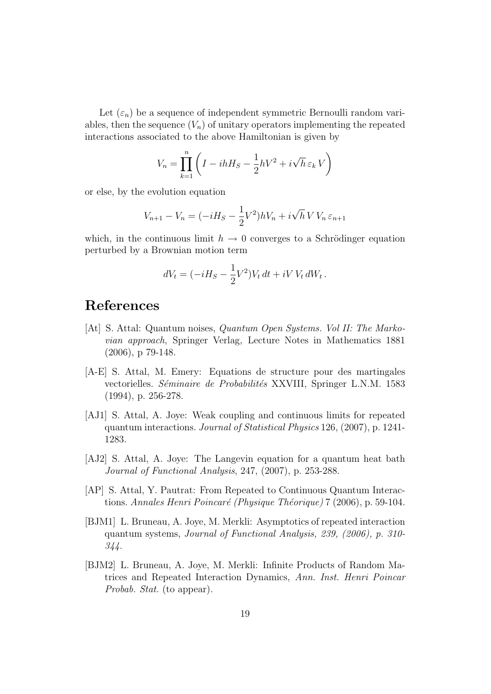Let  $(\varepsilon_n)$  be a sequence of independent symmetric Bernoulli random variables, then the sequence  $(V_n)$  of unitary operators implementing the repeated interactions associated to the above Hamiltonian is given by

$$
V_n = \prod_{k=1}^n \left( I - i h H_S - \frac{1}{2} h V^2 + i \sqrt{h} \, \varepsilon_k \, V \right)
$$

or else, by the evolution equation

$$
V_{n+1} - V_n = (-iH_S - \frac{1}{2}V^2)hV_n + i\sqrt{h} V V_n \varepsilon_{n+1}
$$

which, in the continuous limit  $h \to 0$  converges to a Schrödinger equation perturbed by a Brownian motion term

$$
dV_t = (-iH_S - \frac{1}{2}V^2)V_t dt + iV V_t dW_t.
$$

### References

- [At] S. Attal: Quantum noises, Quantum Open Systems. Vol II: The Markovian approach, Springer Verlag, Lecture Notes in Mathematics 1881 (2006), p 79-148.
- [A-E] S. Attal, M. Emery: Equations de structure pour des martingales vectorielles. Séminaire de Probabilités XXVIII, Springer L.N.M. 1583 (1994), p. 256-278.
- [AJ1] S. Attal, A. Joye: Weak coupling and continuous limits for repeated quantum interactions. Journal of Statistical Physics 126, (2007), p. 1241- 1283.
- [AJ2] S. Attal, A. Joye: The Langevin equation for a quantum heat bath Journal of Functional Analysis, 247, (2007), p. 253-288.
- [AP] S. Attal, Y. Pautrat: From Repeated to Continuous Quantum Interactions. Annales Henri Poincaré (Physique Théorique) 7 (2006), p. 59-104.
- [BJM1] L. Bruneau, A. Joye, M. Merkli: Asymptotics of repeated interaction quantum systems, Journal of Functional Analysis, 239, (2006), p. 310- 344.
- [BJM2] L. Bruneau, A. Joye, M. Merkli: Infinite Products of Random Matrices and Repeated Interaction Dynamics, Ann. Inst. Henri Poincar Probab. Stat. (to appear).